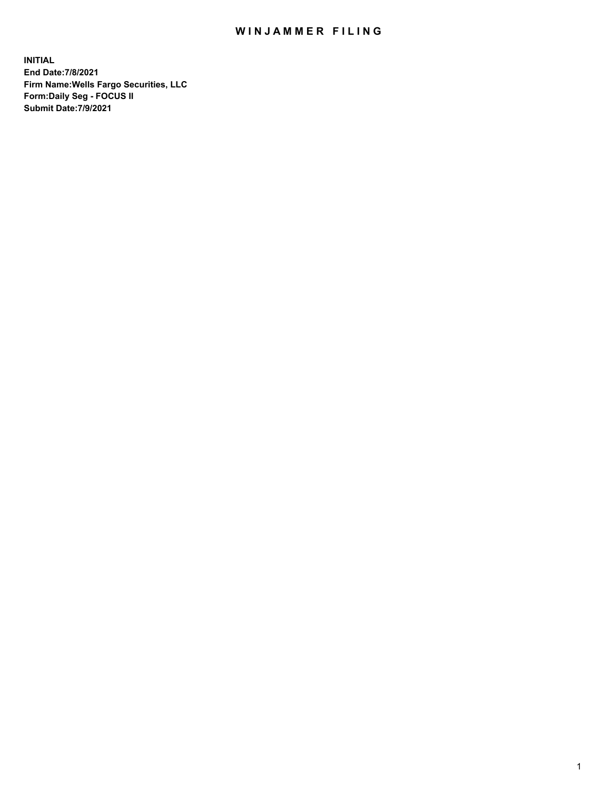## WIN JAMMER FILING

**INITIAL End Date:7/8/2021 Firm Name:Wells Fargo Securities, LLC Form:Daily Seg - FOCUS II Submit Date:7/9/2021**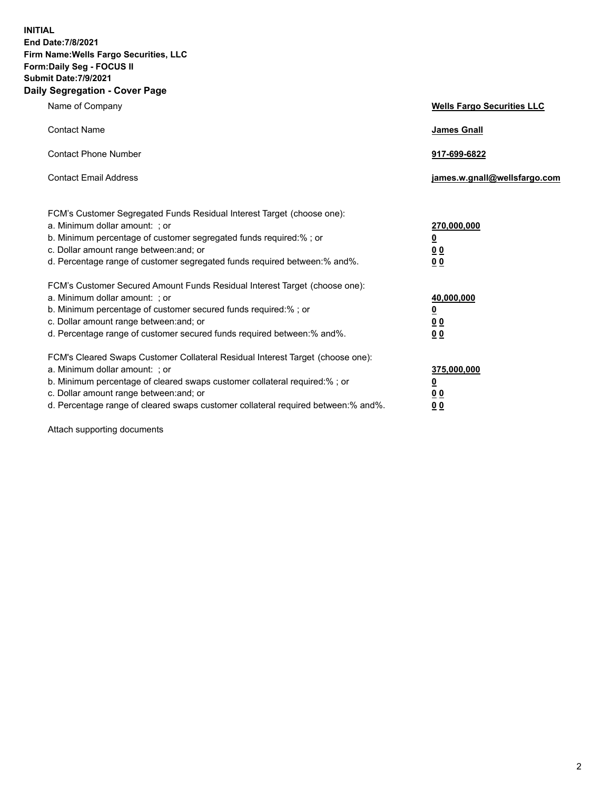**INITIAL End Date:7/8/2021 Firm Name:Wells Fargo Securities, LLC Form:Daily Seg - FOCUS II Submit Date:7/9/2021 Daily Segregation - Cover Page**

| Name of Company                                                                                                       | <b>Wells Fargo Securities LLC</b> |
|-----------------------------------------------------------------------------------------------------------------------|-----------------------------------|
| <b>Contact Name</b>                                                                                                   | <b>James Gnall</b>                |
|                                                                                                                       |                                   |
| <b>Contact Phone Number</b>                                                                                           | 917-699-6822                      |
| <b>Contact Email Address</b>                                                                                          | james.w.gnall@wellsfargo.com      |
|                                                                                                                       |                                   |
| FCM's Customer Segregated Funds Residual Interest Target (choose one):                                                |                                   |
| a. Minimum dollar amount: ; or                                                                                        | 270,000,000                       |
| b. Minimum percentage of customer segregated funds required:% ; or                                                    | <u>0</u>                          |
| c. Dollar amount range between: and; or                                                                               | 00                                |
| d. Percentage range of customer segregated funds required between:% and%.                                             | 0 <sub>0</sub>                    |
|                                                                                                                       |                                   |
| FCM's Customer Secured Amount Funds Residual Interest Target (choose one):<br>a. Minimum dollar amount: ; or          | 40,000,000                        |
| b. Minimum percentage of customer secured funds required:%; or                                                        | <u>0</u>                          |
| c. Dollar amount range between: and; or                                                                               | 00                                |
| d. Percentage range of customer secured funds required between: % and %.                                              | 0 <sub>0</sub>                    |
|                                                                                                                       |                                   |
| FCM's Cleared Swaps Customer Collateral Residual Interest Target (choose one):                                        |                                   |
| a. Minimum dollar amount: ; or                                                                                        | 375,000,000                       |
| b. Minimum percentage of cleared swaps customer collateral required:% ; or<br>c. Dollar amount range between: and; or | <u>0</u>                          |
| d. Percentage range of cleared swaps customer collateral required between:% and%.                                     | <u>00</u>                         |
|                                                                                                                       | 00                                |

Attach supporting documents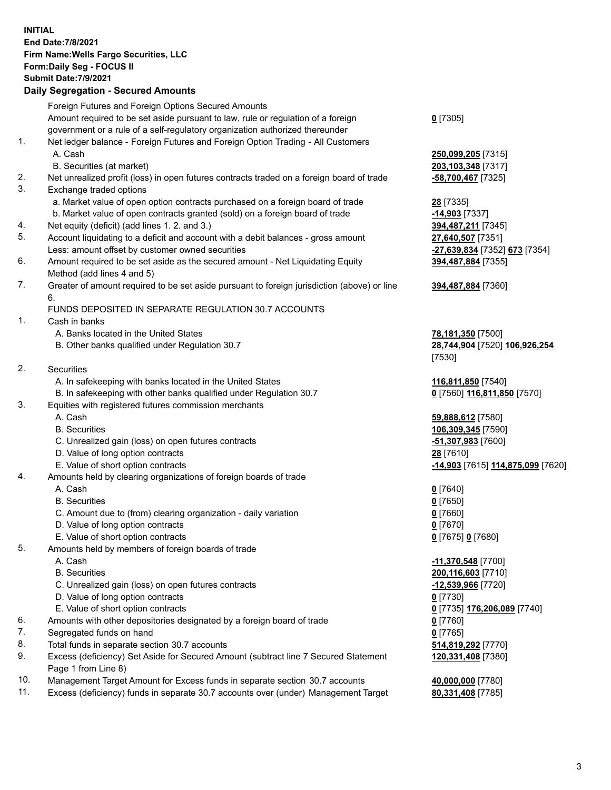**INITIAL End Date:7/8/2021 Firm Name:Wells Fargo Securities, LLC Form:Daily Seg - FOCUS II Submit Date:7/9/2021 Daily Segregation - Secured Amounts** Foreign Futures and Foreign Options Secured Amounts Amount required to be set aside pursuant to law, rule or regulation of a foreign government or a rule of a self-regulatory organization authorized thereunder 1. Net ledger balance - Foreign Futures and Foreign Option Trading - All Customers A. Cash **250,099,205** [7315] B. Securities (at market) **203,103,348** [7317]

- 2. Net unrealized profit (loss) in open futures contracts traded on a foreign board of trade **-58,700,467** [7325]
- 3. Exchange traded options
	- a. Market value of open option contracts purchased on a foreign board of trade **28** [7335]
	- b. Market value of open contracts granted (sold) on a foreign board of trade **-14,903** [7337]
- 4. Net equity (deficit) (add lines 1. 2. and 3.) **394,487,211** [7345]
- 5. Account liquidating to a deficit and account with a debit balances gross amount **27,640,507** [7351] Less: amount offset by customer owned securities **-27,639,834** [7352] **673** [7354]
- 6. Amount required to be set aside as the secured amount Net Liquidating Equity Method (add lines 4 and 5)
- 7. Greater of amount required to be set aside pursuant to foreign jurisdiction (above) or line 6.

## FUNDS DEPOSITED IN SEPARATE REGULATION 30.7 ACCOUNTS

- 1. Cash in banks
	- A. Banks located in the United States **78,181,350** [7500]
	- B. Other banks qualified under Regulation 30.7 **28,744,904** [7520] **106,926,254**
- 2. Securities
	- A. In safekeeping with banks located in the United States **116,811,850** [7540]
- B. In safekeeping with other banks qualified under Regulation 30.7 **0** [7560] **116,811,850** [7570]
- 3. Equities with registered futures commission merchants
	-
	-
	- C. Unrealized gain (loss) on open futures contracts **-51,307,983** [7600]
	- D. Value of long option contracts **28** [7610]
	-
- 4. Amounts held by clearing organizations of foreign boards of trade
	- A. Cash **0** [7640]
	- B. Securities **0** [7650]
	- C. Amount due to (from) clearing organization daily variation **0** [7660]
	- D. Value of long option contracts **0** [7670]
	- E. Value of short option contracts **0** [7675] **0** [7680]
- 5. Amounts held by members of foreign boards of trade
	-
	-
	- C. Unrealized gain (loss) on open futures contracts **-12,539,966** [7720]
	- D. Value of long option contracts **0** [7730]
	- E. Value of short option contracts **0** [7735] **176,206,089** [7740]
- 6. Amounts with other depositories designated by a foreign board of trade **0** [7760]
- 7. Segregated funds on hand **0** [7765]
- 8. Total funds in separate section 30.7 accounts **514,819,292** [7770]
- 9. Excess (deficiency) Set Aside for Secured Amount (subtract line 7 Secured Statement Page 1 from Line 8)
- 10. Management Target Amount for Excess funds in separate section 30.7 accounts **40,000,000** [7780]
- 11. Excess (deficiency) funds in separate 30.7 accounts over (under) Management Target **80,331,408** [7785]

**0** [7305]

**394,487,884** [7355]

## **394,487,884** [7360]

[7530]

 A. Cash **59,888,612** [7580] B. Securities **106,309,345** [7590] E. Value of short option contracts **-14,903** [7615] **114,875,099** [7620]

 A. Cash **-11,370,548** [7700] B. Securities **200,116,603** [7710] **120,331,408** [7380]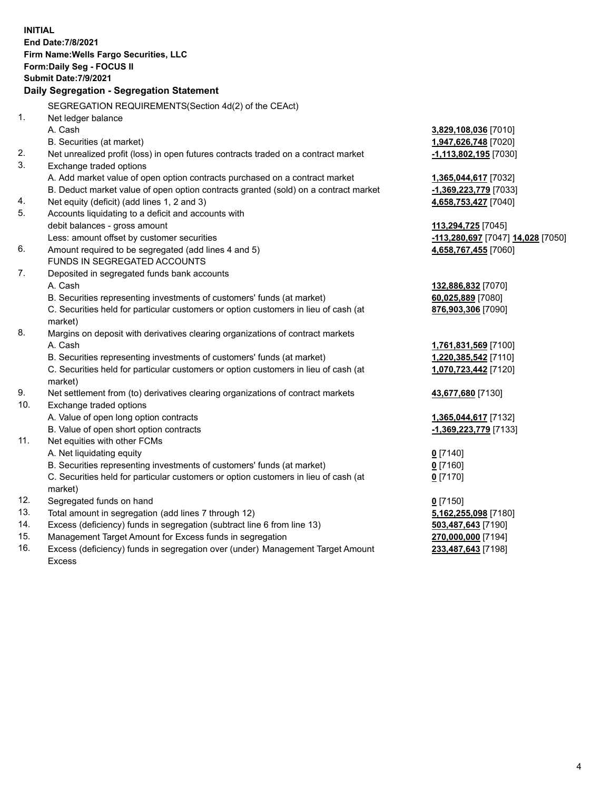|     | <b>INITIAL</b><br><b>End Date: 7/8/2021</b><br>Firm Name: Wells Fargo Securities, LLC<br>Form: Daily Seg - FOCUS II<br><b>Submit Date: 7/9/2021</b> |                                   |
|-----|-----------------------------------------------------------------------------------------------------------------------------------------------------|-----------------------------------|
|     | Daily Segregation - Segregation Statement                                                                                                           |                                   |
|     | SEGREGATION REQUIREMENTS(Section 4d(2) of the CEAct)                                                                                                |                                   |
| 1.  | Net ledger balance                                                                                                                                  |                                   |
|     | A. Cash                                                                                                                                             | 3,829,108,036 [7010]              |
|     | B. Securities (at market)                                                                                                                           | 1,947,626,748 [7020]              |
| 2.  | Net unrealized profit (loss) in open futures contracts traded on a contract market                                                                  | -1,113,802,195 [7030]             |
| 3.  | Exchange traded options                                                                                                                             |                                   |
|     | A. Add market value of open option contracts purchased on a contract market                                                                         | 1,365,044,617 [7032]              |
|     | B. Deduct market value of open option contracts granted (sold) on a contract market                                                                 | -1,369,223,779 [7033]             |
| 4.  | Net equity (deficit) (add lines 1, 2 and 3)                                                                                                         | 4,658,753,427 [7040]              |
| 5.  | Accounts liquidating to a deficit and accounts with                                                                                                 |                                   |
|     | debit balances - gross amount                                                                                                                       | 113,294,725 [7045]                |
|     | Less: amount offset by customer securities                                                                                                          | -113,280,697 [7047] 14,028 [7050] |
| 6.  | Amount required to be segregated (add lines 4 and 5)                                                                                                | 4,658,767,455 [7060]              |
|     | FUNDS IN SEGREGATED ACCOUNTS                                                                                                                        |                                   |
| 7.  | Deposited in segregated funds bank accounts                                                                                                         |                                   |
|     | A. Cash                                                                                                                                             | 132,886,832 [7070]                |
|     | B. Securities representing investments of customers' funds (at market)                                                                              | 60,025,889 [7080]                 |
|     | C. Securities held for particular customers or option customers in lieu of cash (at<br>market)                                                      | 876,903,306 [7090]                |
| 8.  | Margins on deposit with derivatives clearing organizations of contract markets                                                                      |                                   |
|     | A. Cash                                                                                                                                             | 1,761,831,569 [7100]              |
|     | B. Securities representing investments of customers' funds (at market)                                                                              | 1,220,385,542 [7110]              |
|     | C. Securities held for particular customers or option customers in lieu of cash (at                                                                 | 1,070,723,442 [7120]              |
|     | market)                                                                                                                                             |                                   |
| 9.  | Net settlement from (to) derivatives clearing organizations of contract markets                                                                     | 43,677,680 [7130]                 |
| 10. | Exchange traded options                                                                                                                             |                                   |
|     | A. Value of open long option contracts                                                                                                              | 1,365,044,617 [7132]              |
|     | B. Value of open short option contracts                                                                                                             | -1,369,223,779 [7133]             |
| 11. | Net equities with other FCMs                                                                                                                        |                                   |
|     | A. Net liquidating equity                                                                                                                           | $Q$ [7140]                        |
|     | B. Securities representing investments of customers' funds (at market)                                                                              | $0$ [7160]                        |
|     | C. Securities held for particular customers or option customers in lieu of cash (at                                                                 | $0$ [7170]                        |
|     | market)                                                                                                                                             |                                   |
| 12. | Segregated funds on hand                                                                                                                            | $0$ [7150]                        |
| 13. | Total amount in segregation (add lines 7 through 12)                                                                                                | 5,162,255,098 [7180]              |
| 14. | Excess (deficiency) funds in segregation (subtract line 6 from line 13)                                                                             | 503,487,643 [7190]                |
| 15. | Management Target Amount for Excess funds in segregation                                                                                            | 270,000,000 [7194]                |
| 16. | Excess (deficiency) funds in segregation over (under) Management Target Amount                                                                      | 233,487,643 [7198]                |
|     | <b>Excess</b>                                                                                                                                       |                                   |